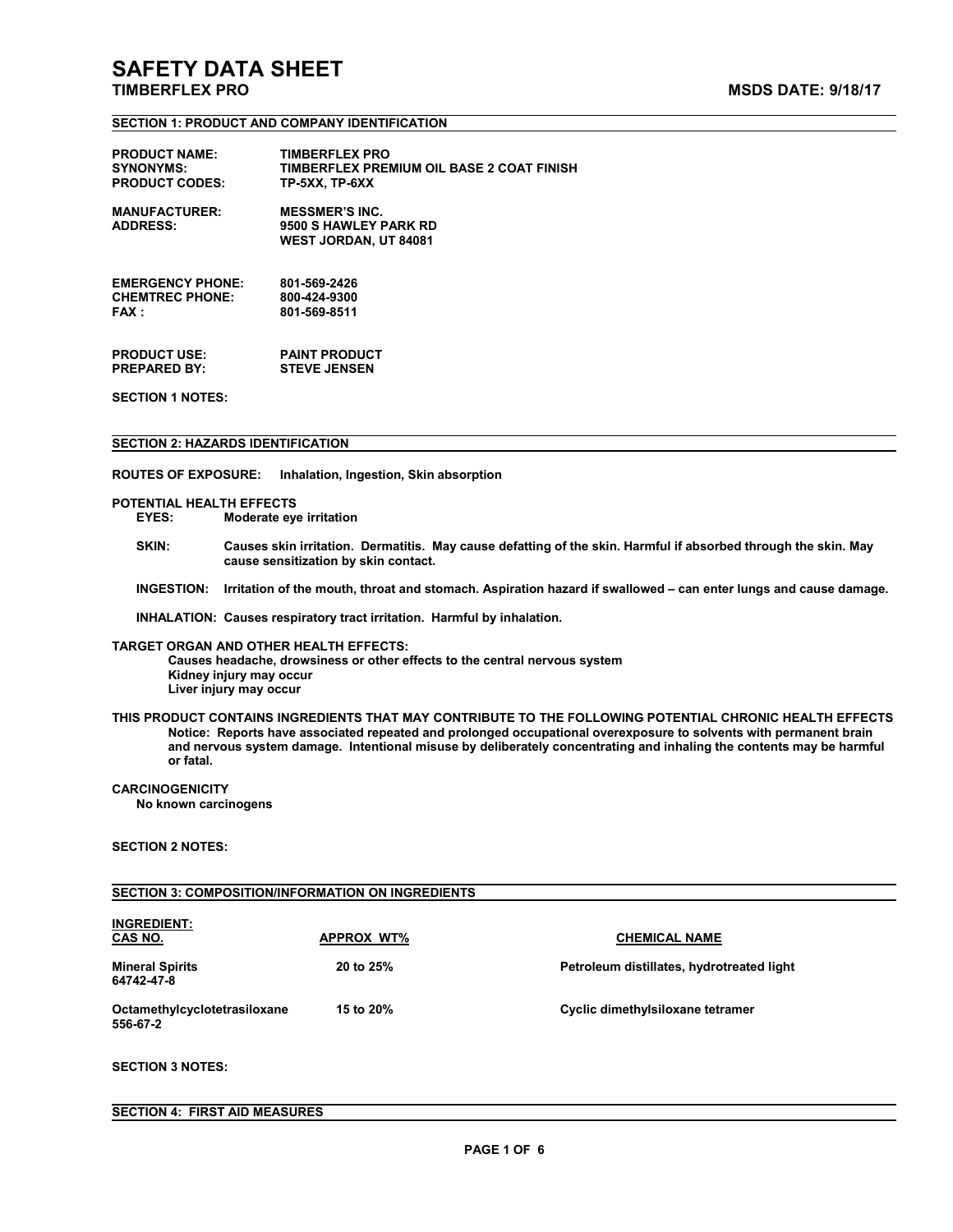#### **SECTION 1: PRODUCT AND COMPANY IDENTIFICATION**

| <b>PRODUCT NAME:</b>                    | <b>TIMBERFLEX PRO</b>                                                   |
|-----------------------------------------|-------------------------------------------------------------------------|
| <b>SYNONYMS:</b>                        | TIMBERFLEX PREMIUM OIL BASE 2 COAT FINISH                               |
| <b>PRODUCT CODES:</b>                   | TP-5XX, TP-6XX                                                          |
| <b>MANUFACTURER:</b><br><b>ADDRESS:</b> | <b>MESSMER'S INC.</b><br>9500 S HAWLEY PARK RD<br>WEST JORDAN, UT 84081 |
| <b>EMERGENCY PHONE:</b>                 | 801-569-2426                                                            |
| <b>CHEMTREC PHONE:</b>                  | 800-424-9300                                                            |
| FAX :                                   | 801-569-8511                                                            |

**PRODUCT USE: PAINT PRODUCT PREPARED BY: STEVE JENSEN**

**SECTION 1 NOTES:**

#### **SECTION 2: HAZARDS IDENTIFICATION**

**ROUTES OF EXPOSURE: Inhalation, Ingestion, Skin absorption**

# **POTENTIAL HEALTH EFFECTS**

**EYES: Moderate eye irritation**

- SKIN: Causes skin irritation. Dermatitis. May cause defatting of the skin. Harmful if absorbed through the skin. May **cause sensitization by skin contact.**
- INGESTION: Irritation of the mouth, throat and stomach. Aspiration hazard if swallowed can enter lungs and cause damage.

**INHALATION: Causes respiratory tract irritation. Harmful by inhalation.TARGET ORGAN AND OTHER HEALTH EFFECTS:**

**Causes headache, drowsiness or other effects to the central nervous system Kidney injury may occur Liver injury may occur**

**THIS PRODUCT CONTAINS INGREDIENTS THAT MAY CONTRIBUTE TO THE FOLLOWING POTENTIAL CHRONIC HEALTH EFFECTS Notice: Reports have associated repeated and prolonged occupationaloverexposure to solvents with permanent brain** and nervous system damage. Intentional misuse by deliberately concentrating and inhaling the contents may be harmful<br>or fatal.

#### **CARCINOGENICITY**

**No known carcinogens**

### **SECTION 2 NOTES:**

#### **SECTION 3: COMPOSITION/INFORMATION ON INGREDIENTS**

| <b>INGREDIENT:</b><br>CAS NO.            | <b>APPROX WT%</b> | <b>CHEMICAL NAME</b>                      |
|------------------------------------------|-------------------|-------------------------------------------|
| <b>Mineral Spirits</b><br>64742-47-8     | 20 to 25%         | Petroleum distillates, hydrotreated light |
| Octamethylcyclotetrasiloxane<br>556-67-2 | 15 to 20%         | Cyclic dimethylsiloxane tetramer          |

#### **SECTION 3 NOTES:**

#### **SECTION 4: FIRST AID MEASURES**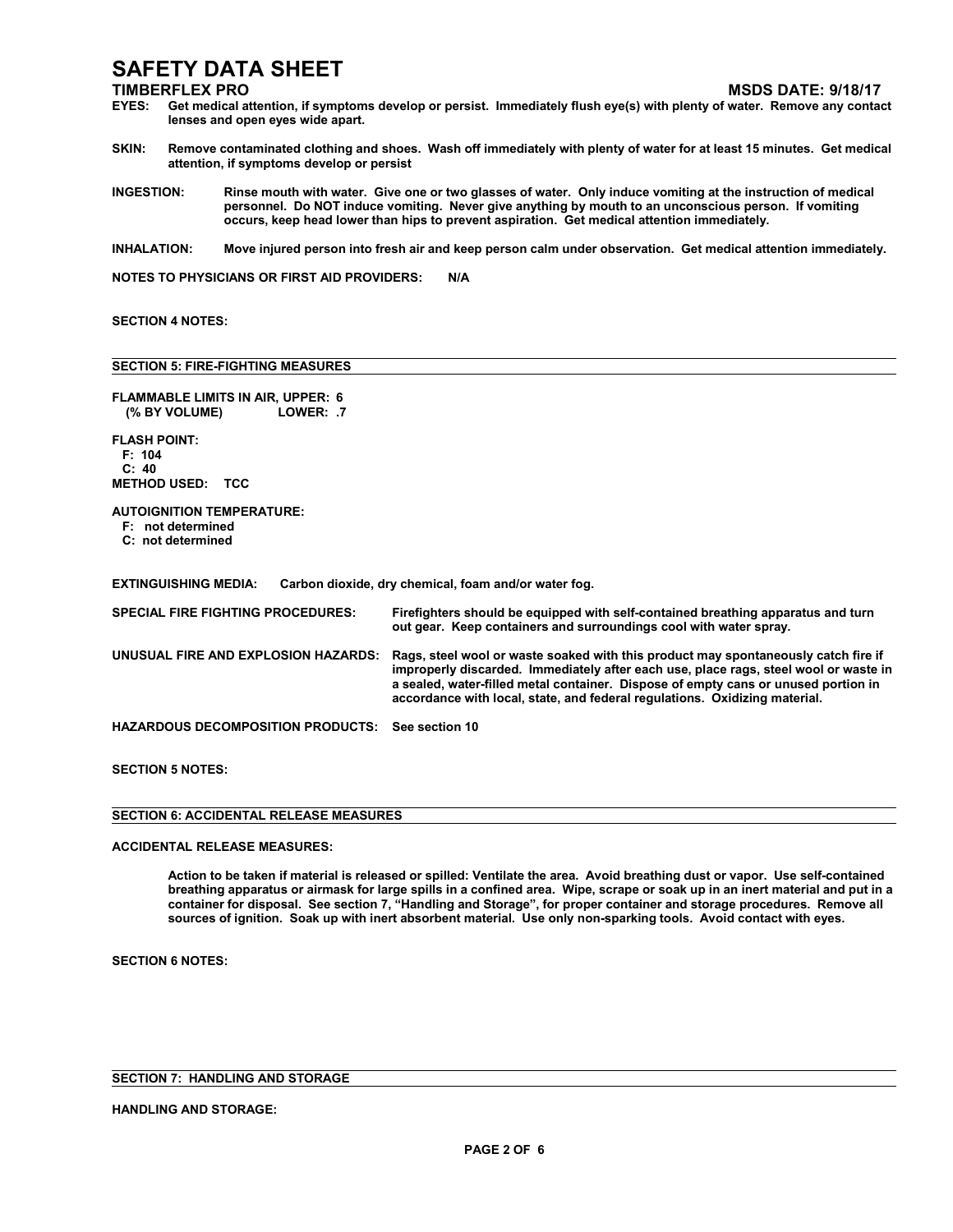- **TIMBERFLEX PRO MSDS DATE: 9/18/17** Get medical attention, if symptoms develop or persist. Immediately flush eye(s) with plenty of water. Remove any contact **lenses and open eyes wide apart.**
- SKIN: Remove contaminated clothing and shoes. Wash off immediately with plenty of water for at least 15 minutes. Get medical **attention, if symptoms develop or persist**
- INGESTION: Rinse mouth with water. Give one or two glasses of water. Only induce vomiting at the instruction of medical **personnel. Do NOT induce vomiting. Never give anything by mouth to an unconscious person. If vomiting occurs, keep head lower than hips to prevent aspiration. Get medical attention immediately.**
- INHALATION: Move injured person into fresh air and keep person calm under observation. Get medical attention immediately.

**NOTES TO PHYSICIANS OR FIRST AID PROVIDERS: N/A**

#### **SECTION 4 NOTES:**

#### **SECTION 5: FIRE-FIGHTING MEASURES**

| <b>FLAMMABLE LIMITS IN AIR, UPPER: 6</b><br>(% BY VOLUME)<br>LOWER: .7              |                                                                                                                                                                                                                                                                                                                                                |  |  |  |
|-------------------------------------------------------------------------------------|------------------------------------------------------------------------------------------------------------------------------------------------------------------------------------------------------------------------------------------------------------------------------------------------------------------------------------------------|--|--|--|
| <b>FLASH POINT:</b><br>F: 104<br>C: 40<br><b>METHOD USED: TCC</b>                   |                                                                                                                                                                                                                                                                                                                                                |  |  |  |
| <b>AUTOIGNITION TEMPERATURE:</b><br>F: not determined<br>C: not determined          |                                                                                                                                                                                                                                                                                                                                                |  |  |  |
| <b>EXTINGUISHING MEDIA:</b><br>Carbon dioxide, dry chemical, foam and/or water fog. |                                                                                                                                                                                                                                                                                                                                                |  |  |  |
| <b>SPECIAL FIRE FIGHTING PROCEDURES:</b>                                            | Firefighters should be equipped with self-contained breathing apparatus and turn<br>out gear. Keep containers and surroundings cool with water spray.                                                                                                                                                                                          |  |  |  |
| UNUSUAL FIRE AND EXPLOSION HAZARDS:                                                 | Rags, steel wool or waste soaked with this product may spontaneously catch fire if<br>improperly discarded. Immediately after each use, place rags, steel wool or waste in<br>a sealed, water-filled metal container. Dispose of empty cans or unused portion in<br>accordance with local, state, and federal regulations. Oxidizing material. |  |  |  |
| <b>HAZARDOUS DECOMPOSITION PRODUCTS:</b>                                            | See section 10                                                                                                                                                                                                                                                                                                                                 |  |  |  |
|                                                                                     |                                                                                                                                                                                                                                                                                                                                                |  |  |  |

**SECTION 5 NOTES:**

| <b>SECTION 6: ACCIDENTAL RELEASE MEASURES</b> |  |
|-----------------------------------------------|--|

**ACCIDENTAL RELEASE MEASURES:**

Action to be taken if material is released or spilled: Ventilate the area. Avoid breathing dust or vapor. Use self-contained breathing apparatus or airmask for large spills in a confined area. Wipe, scrape or soak up in an inert material and put in a container for disposal. See section 7, "Handling and Storage", for proper container and storage procedures. Remove all **sources of ignition.Soak up with inert absorbent material. Use only non-sparking tools. Avoid contact with eyes.**

**SECTION 6 NOTES:**

**SECTION 7: HANDLING AND STORAGE**

#### **HANDLING AND STORAGE:**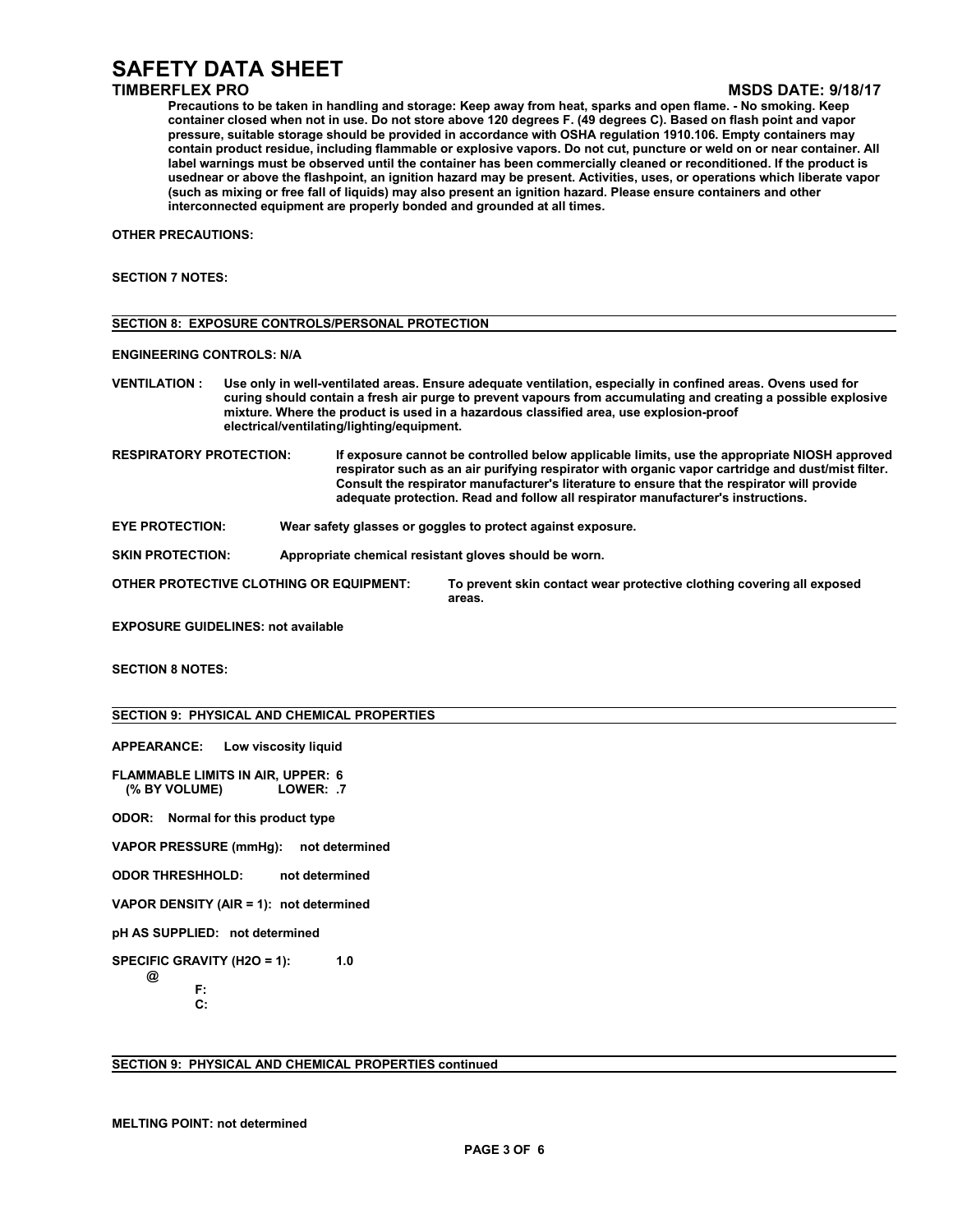### **TIMBERFLEX PRO MSDS DATE: 9/18/17**

Precautions to be taken in handling and storage: Keep away from heat, sparks and open flame. - No smoking. Keep container closed when not in use. Do not store above 120 degrees F. (49 degrees C). Based on flash point and vapor **pressure, suitable storage should be provided in accordance with OSHA regulation 1910.106. Empty containers may** contain product residue, including flammable or explosive vapors. Do not cut, puncture or weld on or near container. All label warnings must be observed until the container has been commercially cleaned or reconditioned. If the product is usednear or above the flashpoint, an ignition hazard may be present. Activities, uses, or operations which liberate vapor (such as mixing or free fall of liquids) may also present an ignition hazard. Please ensure containers and other **interconnected equipmentare properly bonded and grounded at all times.**

**OTHER PRECAUTIONS:**

#### **SECTION 7 NOTES:**

| <b>ENGINEERING CONTROLS: N/A</b> |                                                                                                                                                                                                                                                                                                                                                                        |
|----------------------------------|------------------------------------------------------------------------------------------------------------------------------------------------------------------------------------------------------------------------------------------------------------------------------------------------------------------------------------------------------------------------|
| <b>VENTILATION:</b>              | Use only in well-ventilated areas. Ensure adequate ventilation, especially in confined areas. Ovens used for<br>curing should contain a fresh air purge to prevent vapours from accumulating and creating a possible explosive<br>mixture. Where the product is used in a hazardous classified area, use explosion-proof<br>electrical/ventilating/lighting/equipment. |
| <b>RESPIRATORY PROTECTION:</b>   | If exposure cannot be controlled below applicable limits, use the appropriate NIOSH approved<br>respirator such as an air purifying respirator with organic vapor cartridge and dust/mist filter.<br>Consult the respirator manufacturer's literature to ensure that the respirator will provide                                                                       |

**adequate protection. Read and follow all respirator manufacturer's instructions.**

**EYE PROTECTION: Wear safety glasses or goggles to protect against exposure.**

**SKIN PROTECTION: Appropriate chemical resistant gloves should be worn.**

**SECTION 8: EXPOSURE CONTROLS/PERSONAL PROTECTION**

**OTHER PROTECTIVE CLOTHING OR EQUIPMENT: To prevent skin contact wear protective clothing covering all exposed areas.**

**EXPOSURE GUIDELINES: not available**

**SECTION 8 NOTES:**

#### **SECTION 9: PHYSICAL AND CHEMICAL PROPERTIES**

**APPEARANCE: Low viscosity liquid**

**FLAMMABLE LIMITS IN AIR, UPPER: 6 (% BY VOLUME) LOWER: .7**

**ODOR: Normal for this product type**

**VAPOR PRESSURE (mmHg): not determined**

**ODOR THRESHHOLD: not determined**

**VAPOR DENSITY (AIR = 1): not determined**

**pH AS SUPPLIED: not determined**

**SPECIFIC GRAVITY (H2O = 1): 1.0 @**

> **F: C:**

**SECTION 9: PHYSICAL AND CHEMICAL PROPERTIES continued**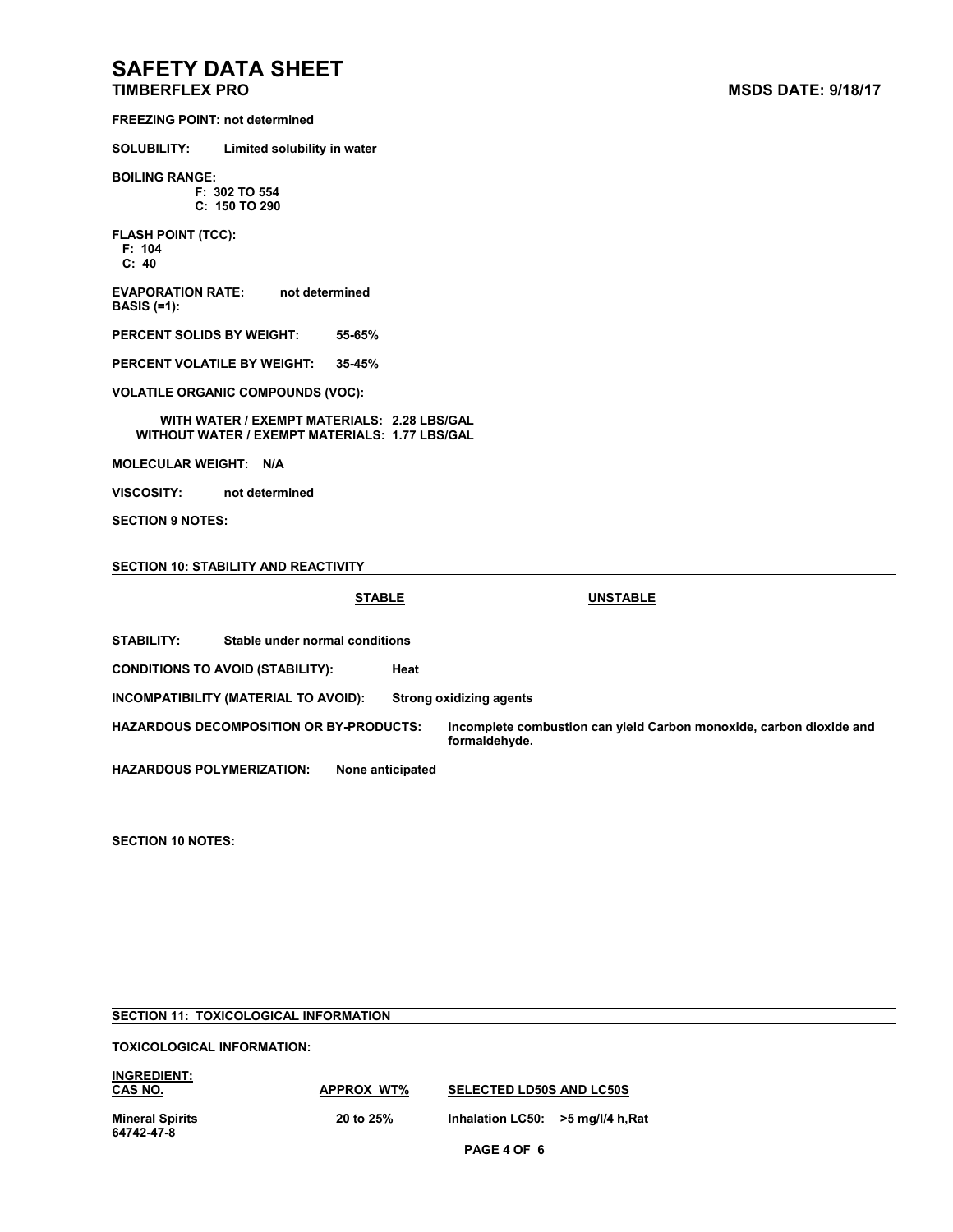**FREEZING POINT: not determined**

**SOLUBILITY: Limited solubility in water**

**BOILING RANGE: F: 302 TO 554**

**C: 150 TO 290**

**FLASH POINT (TCC): F: 104 C: 40**

**EVAPORATION RATE: not determined BASIS (=1):**

**PERCENT SOLIDS BY WEIGHT: 55-65%**

**PERCENT VOLATILE BY WEIGHT: 35-45%**

**VOLATILE ORGANIC COMPOUNDS (VOC):**

**WITH WATER / EXEMPT MATERIALS: 2.28 LBS/GAL WITHOUT WATER / EXEMPT MATERIALS: 1.77 LBS/GAL**

**MOLECULAR WEIGHT: N/A**

**VISCOSITY: not determined**

**SECTION 9 NOTES:**

#### **SECTION 10: STABILITY AND REACTIVITY**

**STABLE UNSTABLE**

**STABILITY: Stable under normal conditions**

**CONDITIONS TO AVOID (STABILITY): Heat**

**INCOMPATIBILITY (MATERIAL TO AVOID): Strong oxidizing agents**

**HAZARDOUS DECOMPOSITION OR BY-PRODUCTS: Incomplete combustion can yield Carbon monoxide, carbon dioxide and formaldehyde.**

**HAZARDOUS POLYMERIZATION: None anticipated**

**SECTION 10 NOTES:**

## **PAGE 4 OF 6 SECTION 11: TOXICOLOGICAL INFORMATION TOXICOLOGICAL INFORMATION: INGREDIENT: CAS NO. APPROX WT% SELECTED LD50S AND LC50S Mineral Spirits 20 to 25% Inhalation LC50: >5 mg/l/4 h,Rat 64742-47-8**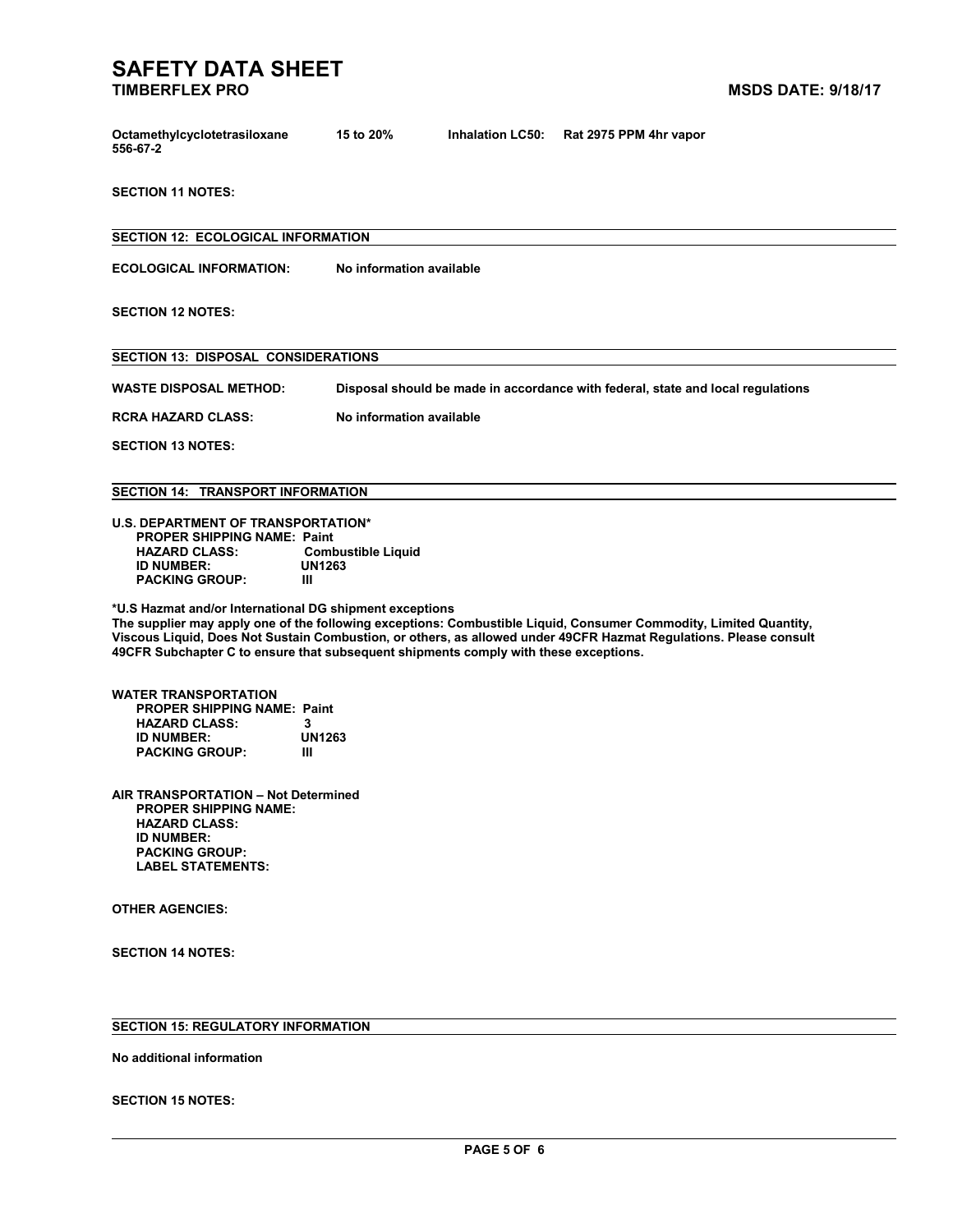| Octamethylcyclotetrasiloxane | 15 to 20% | Inhalation LC50: Rat 2975 PPM 4hr vapor |
|------------------------------|-----------|-----------------------------------------|
| 556-67-2                     |           |                                         |

**SECTION 11 NOTES:**

**SECTION 12: ECOLOGICAL INFORMATION ECOLOGICAL INFORMATION: No information available SECTION 12 NOTES: SECTION 13: DISPOSAL CONSIDERATIONS WASTE DISPOSAL METHOD: Disposal should be made in accordance with federal, state and local regulations RCRA HAZARD CLASS: No information available SECTION 13 NOTES: SECTION 14: TRANSPORT INFORMATION U.S. DEPARTMENT OF TRANSPORTATION\* PROPER SHIPPING NAME: Paint Combustible Liquid**<br>UN1263 **ID** NUMBER: UN<br>PACKING GROUP: III **PACKING GROUP: III\*U.S Hazmat and/or International DG shipment exceptions The supplier may apply one of the following exceptions: Combustible Liquid, Consumer Commodity, Limited Quantity, Viscous Liquid, Does Not Sustain Combustion,or others, as allowed under 49CFR Hazmat Regulations. Please consult**

**49CFR Subchapter C to ensure that subsequent shipments comply with these exceptions.**

**WATER TRANSPORTATION PROPER SHIPPING NAME: Paint HAZARD CLASS: 3 ID** NUMBER: UN<br>PACKING GROUP: III **PACKING GROUP: III**

**AIR TRANSPORTATION – Not Determined PROPER SHIPPING NAME: HAZARD CLASS: ID NUMBER: PACKING GROUP: LABEL STATEMENTS:**

**OTHER AGENCIES:**

**SECTION 14 NOTES:**

### **SECTION 15: REGULATORY INFORMATION**

**No additional information**

**SECTION 15 NOTES:**